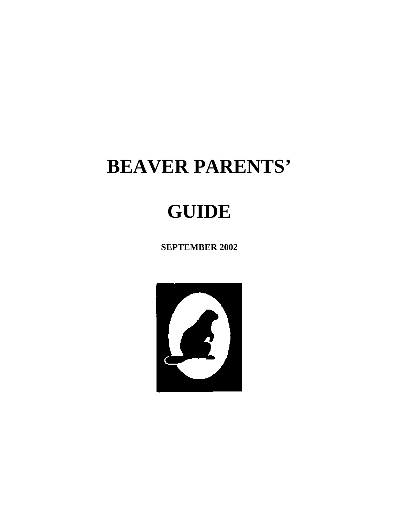# **BEAVER PARENTS'**

# **GUIDE**

**SEPTEMBER 2002** 

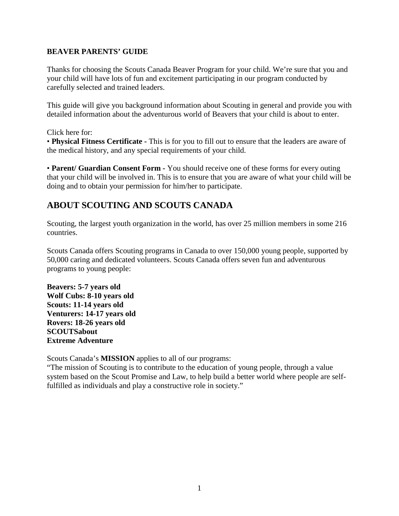#### **BEAVER PARENTS' GUIDE**

Thanks for choosing the Scouts Canada Beaver Program for your child. We're sure that you and your child will have lots of fun and excitement participating in our program conducted by carefully selected and trained leaders.

This guide will give you background information about Scouting in general and provide you with detailed information about the adventurous world of Beavers that your child is about to enter.

Click here for:

• **Physical Fitness Certificate -** This is for you to fill out to ensure that the leaders are aware of the medical history, and any special requirements of your child.

• **Parent/ Guardian Consent Form -** You should receive one of these forms for every outing that your child will be involved in. This is to ensure that you are aware of what your child will be doing and to obtain your permission for him/her to participate.

## **ABOUT SCOUTING AND SCOUTS CANADA**

Scouting, the largest youth organization in the world, has over 25 million members in some 216 countries.

Scouts Canada offers Scouting programs in Canada to over 150,000 young people, supported by 50,000 caring and dedicated volunteers. Scouts Canada offers seven fun and adventurous programs to young people:

**Beavers: 5-7 years old Wolf Cubs: 8-10 years old Scouts: 11-14 years old Venturers: 14-17 years old Rovers: 18-26 years old SCOUTSabout Extreme Adventure** 

Scouts Canada's **MISSION** applies to all of our programs:

"The mission of Scouting is to contribute to the education of young people, through a value system based on the Scout Promise and Law, to help build a better world where people are selffulfilled as individuals and play a constructive role in society."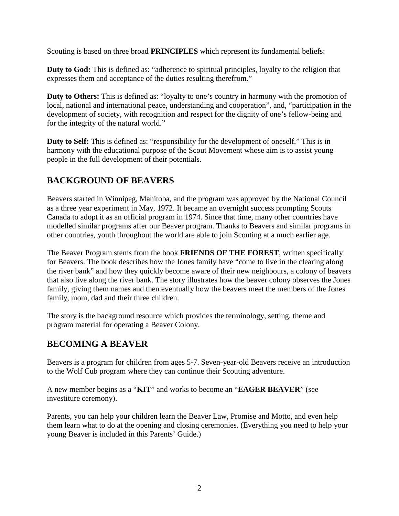Scouting is based on three broad **PRINCIPLES** which represent its fundamental beliefs:

**Duty to God:** This is defined as: "adherence to spiritual principles, loyalty to the religion that expresses them and acceptance of the duties resulting therefrom."

**Duty to Others:** This is defined as: "loyalty to one's country in harmony with the promotion of local, national and international peace, understanding and cooperation", and, "participation in the development of society, with recognition and respect for the dignity of one's fellow-being and for the integrity of the natural world."

**Duty to Self:** This is defined as: "responsibility for the development of oneself." This is in harmony with the educational purpose of the Scout Movement whose aim is to assist young people in the full development of their potentials.

# **BACKGROUND OF BEAVERS**

Beavers started in Winnipeg, Manitoba, and the program was approved by the National Council as a three year experiment in May, 1972. It became an overnight success prompting Scouts Canada to adopt it as an official program in 1974. Since that time, many other countries have modelled similar programs after our Beaver program. Thanks to Beavers and similar programs in other countries, youth throughout the world are able to join Scouting at a much earlier age.

The Beaver Program stems from the book **FRIENDS OF THE FOREST**, written specifically for Beavers. The book describes how the Jones family have "come to live in the clearing along the river bank" and how they quickly become aware of their new neighbours, a colony of beavers that also live along the river bank. The story illustrates how the beaver colony observes the Jones family, giving them names and then eventually how the beavers meet the members of the Jones family, mom, dad and their three children.

The story is the background resource which provides the terminology, setting, theme and program material for operating a Beaver Colony.

## **BECOMING A BEAVER**

Beavers is a program for children from ages 5-7. Seven-year-old Beavers receive an introduction to the Wolf Cub program where they can continue their Scouting adventure.

A new member begins as a "**KIT**" and works to become an "**EAGER BEAVER**" (see investiture ceremony).

Parents, you can help your children learn the Beaver Law, Promise and Motto, and even help them learn what to do at the opening and closing ceremonies. (Everything you need to help your young Beaver is included in this Parents' Guide.)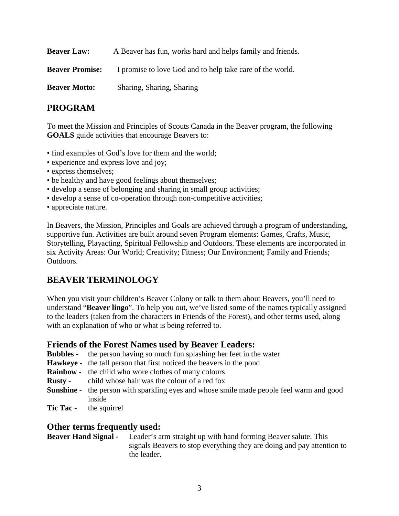| <b>Beaver Law:</b>     | A Beaver has fun, works hard and helps family and friends. |
|------------------------|------------------------------------------------------------|
| <b>Beaver Promise:</b> | I promise to love God and to help take care of the world.  |
| <b>Beaver Motto:</b>   | Sharing, Sharing, Sharing                                  |

#### **PROGRAM**

To meet the Mission and Principles of Scouts Canada in the Beaver program, the following **GOALS** guide activities that encourage Beavers to:

- find examples of God's love for them and the world;
- experience and express love and joy;
- express themselves;
- be healthy and have good feelings about themselves;
- develop a sense of belonging and sharing in small group activities;
- develop a sense of co-operation through non-competitive activities;
- appreciate nature.

In Beavers, the Mission, Principles and Goals are achieved through a program of understanding, supportive fun. Activities are built around seven Program elements: Games, Crafts, Music, Storytelling, Playacting, Spiritual Fellowship and Outdoors. These elements are incorporated in six Activity Areas: Our World; Creativity; Fitness; Our Environment; Family and Friends; Outdoors.

#### **BEAVER TERMINOLOGY**

When you visit your children's Beaver Colony or talk to them about Beavers, you'll need to understand "**Beaver lingo**". To help you out, we've listed some of the names typically assigned to the leaders (taken from the characters in Friends of the Forest), and other terms used, along with an explanation of who or what is being referred to.

#### **Friends of the Forest Names used by Beaver Leaders:**

- **Bubbles** the person having so much fun splashing her feet in the water
- **Hawkeye** the tall person that first noticed the beavers in the pond
- **Rainbow** the child who wore clothes of many colours
- **Rusty** child whose hair was the colour of a red fox
- **Sunshine -** the person with sparkling eyes and whose smile made people feel warm and good inside
- **Tic Tac** the squirrel

#### **Other terms frequently used:**

| <b>Beaver Hand Signal -</b> | Leader's arm straight up with hand forming Beaver salute. This         |  |  |  |
|-----------------------------|------------------------------------------------------------------------|--|--|--|
|                             | signals Beavers to stop everything they are doing and pay attention to |  |  |  |
|                             | the leader.                                                            |  |  |  |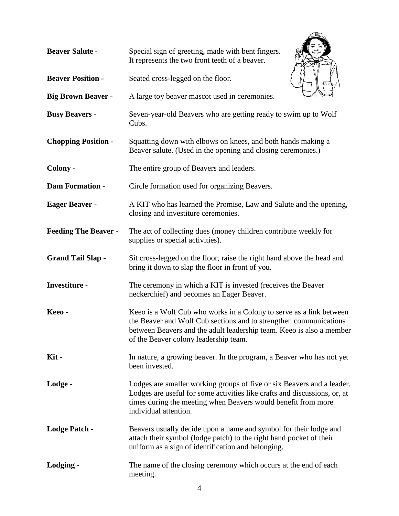| <b>Beaver Salute -</b>      | Special sign of greeting, made with bent fingers.<br>It represents the two front teeth of a beaver.                                                                                                                                                       |  |  |  |  |
|-----------------------------|-----------------------------------------------------------------------------------------------------------------------------------------------------------------------------------------------------------------------------------------------------------|--|--|--|--|
| <b>Beaver Position -</b>    | Seated cross-legged on the floor.                                                                                                                                                                                                                         |  |  |  |  |
| <b>Big Brown Beaver -</b>   | A large toy beaver mascot used in ceremonies.                                                                                                                                                                                                             |  |  |  |  |
| <b>Busy Beavers -</b>       | Seven-year-old Beavers who are getting ready to swim up to Wolf<br>Cubs.                                                                                                                                                                                  |  |  |  |  |
| <b>Chopping Position -</b>  | Squatting down with elbows on knees, and both hands making a<br>Beaver salute. (Used in the opening and closing ceremonies.)                                                                                                                              |  |  |  |  |
| Colony -                    | The entire group of Beavers and leaders.                                                                                                                                                                                                                  |  |  |  |  |
| <b>Dam Formation -</b>      | Circle formation used for organizing Beavers.                                                                                                                                                                                                             |  |  |  |  |
| <b>Eager Beaver -</b>       | A KIT who has learned the Promise, Law and Salute and the opening,<br>closing and investiture ceremonies.                                                                                                                                                 |  |  |  |  |
| <b>Feeding The Beaver -</b> | The act of collecting dues (money children contribute weekly for<br>supplies or special activities).                                                                                                                                                      |  |  |  |  |
| <b>Grand Tail Slap -</b>    | Sit cross-legged on the floor, raise the right hand above the head and<br>bring it down to slap the floor in front of you.                                                                                                                                |  |  |  |  |
| <b>Investiture -</b>        | The ceremony in which a KIT is invested (receives the Beaver<br>neckerchief) and becomes an Eager Beaver.                                                                                                                                                 |  |  |  |  |
| Keeo-                       | Keeo is a Wolf Cub who works in a Colony to serve as a link between<br>the Beaver and Wolf Cub sections and to strengthen communications<br>between Beavers and the adult leadership team. Keeo is also a member<br>of the Beaver colony leadership team. |  |  |  |  |
| Kit-                        | In nature, a growing beaver. In the program, a Beaver who has not yet<br>been invested.                                                                                                                                                                   |  |  |  |  |
| Lodge -                     | Lodges are smaller working groups of five or six Beavers and a leader.<br>Lodges are useful for some activities like crafts and discussions, or, at<br>times during the meeting when Beavers would benefit from more<br>individual attention.             |  |  |  |  |
| <b>Lodge Patch -</b>        | Beavers usually decide upon a name and symbol for their lodge and<br>attach their symbol (lodge patch) to the right hand pocket of their<br>uniform as a sign of identification and belonging.                                                            |  |  |  |  |
| Lodging -                   | The name of the closing ceremony which occurs at the end of each<br>meeting.                                                                                                                                                                              |  |  |  |  |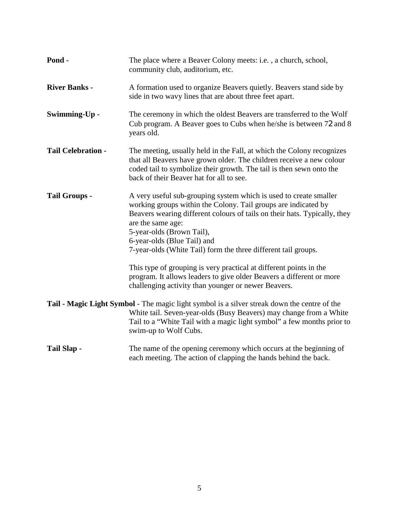| Pond -                    | The place where a Beaver Colony meets: <i>i.e.</i> , a church, school,<br>community club, auditorium, etc.                                                                                                                                                                                        |  |  |
|---------------------------|---------------------------------------------------------------------------------------------------------------------------------------------------------------------------------------------------------------------------------------------------------------------------------------------------|--|--|
| <b>River Banks -</b>      | A formation used to organize Beavers quietly. Beavers stand side by<br>side in two wavy lines that are about three feet apart.                                                                                                                                                                    |  |  |
| Swimming-Up -             | The ceremony in which the oldest Beavers are transferred to the Wolf<br>Cub program. A Beaver goes to Cubs when he/she is between 72 and 8<br>years old.                                                                                                                                          |  |  |
| <b>Tail Celebration -</b> | The meeting, usually held in the Fall, at which the Colony recognizes<br>that all Beavers have grown older. The children receive a new colour<br>coded tail to symbolize their growth. The tail is then sewn onto the<br>back of their Beaver hat for all to see.                                 |  |  |
| <b>Tail Groups -</b>      | A very useful sub-grouping system which is used to create smaller<br>working groups within the Colony. Tail groups are indicated by<br>Beavers wearing different colours of tails on their hats. Typically, they<br>are the same age:<br>5-year-olds (Brown Tail),<br>6-year-olds (Blue Tail) and |  |  |
|                           | 7-year-olds (White Tail) form the three different tail groups.                                                                                                                                                                                                                                    |  |  |
|                           | This type of grouping is very practical at different points in the<br>program. It allows leaders to give older Beavers a different or more<br>challenging activity than younger or newer Beavers.                                                                                                 |  |  |
|                           | Tail - Magic Light Symbol - The magic light symbol is a silver streak down the centre of the<br>White tail. Seven-year-olds (Busy Beavers) may change from a White<br>Tail to a "White Tail with a magic light symbol" a few months prior to<br>swim-up to Wolf Cubs.                             |  |  |
| Tail Slap -               | The name of the opening ceremony which occurs at the beginning of<br>each meeting. The action of clapping the hands behind the back.                                                                                                                                                              |  |  |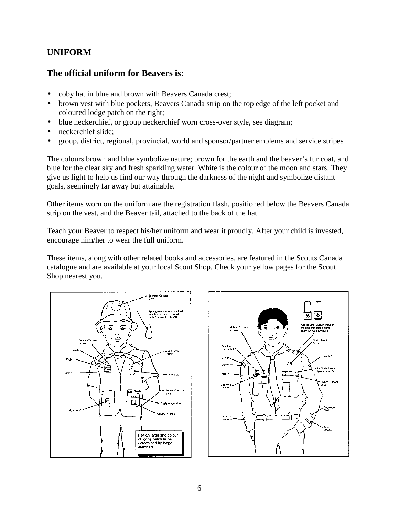## **UNIFORM**

#### **The official uniform for Beavers is:**

- coby hat in blue and brown with Beavers Canada crest;
- brown vest with blue pockets, Beavers Canada strip on the top edge of the left pocket and coloured lodge patch on the right;
- blue neckerchief, or group neckerchief worn cross-over style, see diagram;
- neckerchief slide;
- group, district, regional, provincial, world and sponsor/partner emblems and service stripes

The colours brown and blue symbolize nature; brown for the earth and the beaver's fur coat, and blue for the clear sky and fresh sparkling water. White is the colour of the moon and stars. They give us light to help us find our way through the darkness of the night and symbolize distant goals, seemingly far away but attainable.

Other items worn on the uniform are the registration flash, positioned below the Beavers Canada strip on the vest, and the Beaver tail, attached to the back of the hat.

Teach your Beaver to respect his/her uniform and wear it proudly. After your child is invested, encourage him/her to wear the full uniform.

These items, along with other related books and accessories, are featured in the Scouts Canada catalogue and are available at your local Scout Shop. Check your yellow pages for the Scout Shop nearest you.



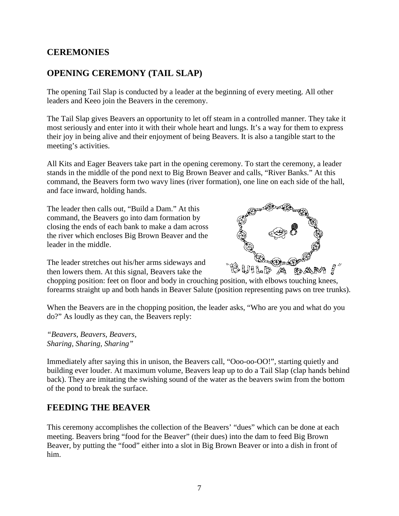#### **CEREMONIES**

## **OPENING CEREMONY (TAIL SLAP)**

The opening Tail Slap is conducted by a leader at the beginning of every meeting. All other leaders and Keeo join the Beavers in the ceremony.

The Tail Slap gives Beavers an opportunity to let off steam in a controlled manner. They take it most seriously and enter into it with their whole heart and lungs. It's a way for them to express their joy in being alive and their enjoyment of being Beavers. It is also a tangible start to the meeting's activities.

All Kits and Eager Beavers take part in the opening ceremony. To start the ceremony, a leader stands in the middle of the pond next to Big Brown Beaver and calls, "River Banks." At this command, the Beavers form two wavy lines (river formation), one line on each side of the hall, and face inward, holding hands.

The leader then calls out, "Build a Dam." At this command, the Beavers go into dam formation by closing the ends of each bank to make a dam across the river which encloses Big Brown Beaver and the leader in the middle.



The leader stretches out his/her arms sideways and then lowers them. At this signal, Beavers take the

chopping position: feet on floor and body in crouching position, with elbows touching knees, forearms straight up and both hands in Beaver Salute (position representing paws on tree trunks).

When the Beavers are in the chopping position, the leader asks, "Who are you and what do you do?" As loudly as they can, the Beavers reply:

*"Beavers, Beavers, Beavers, Sharing, Sharing, Sharing"* 

Immediately after saying this in unison, the Beavers call, "Ooo-oo-OO!", starting quietly and building ever louder. At maximum volume, Beavers leap up to do a Tail Slap (clap hands behind back). They are imitating the swishing sound of the water as the beavers swim from the bottom of the pond to break the surface.

## **FEEDING THE BEAVER**

This ceremony accomplishes the collection of the Beavers' "dues" which can be done at each meeting. Beavers bring "food for the Beaver" (their dues) into the dam to feed Big Brown Beaver, by putting the "food" either into a slot in Big Brown Beaver or into a dish in front of him.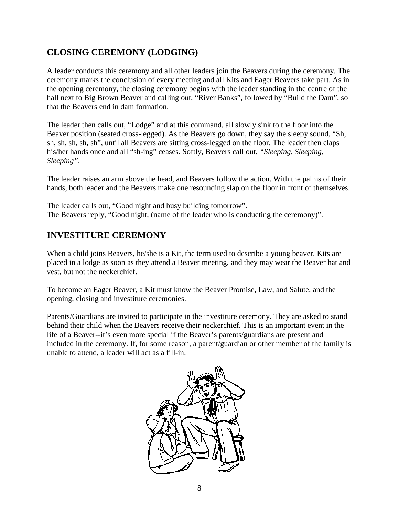# **CLOSING CEREMONY (LODGING)**

A leader conducts this ceremony and all other leaders join the Beavers during the ceremony. The ceremony marks the conclusion of every meeting and all Kits and Eager Beavers take part. As in the opening ceremony, the closing ceremony begins with the leader standing in the centre of the hall next to Big Brown Beaver and calling out, "River Banks", followed by "Build the Dam", so that the Beavers end in dam formation.

The leader then calls out, "Lodge" and at this command, all slowly sink to the floor into the Beaver position (seated cross-legged). As the Beavers go down, they say the sleepy sound, "Sh, sh, sh, sh, sh", until all Beavers are sitting cross-legged on the floor. The leader then claps his/her hands once and all "sh-ing" ceases. Softly, Beavers call out, *"Sleeping, Sleeping, Sleeping".*

The leader raises an arm above the head, and Beavers follow the action. With the palms of their hands, both leader and the Beavers make one resounding slap on the floor in front of themselves.

The leader calls out, "Good night and busy building tomorrow". The Beavers reply, "Good night, (name of the leader who is conducting the ceremony)".

## **INVESTITURE CEREMONY**

When a child joins Beavers, he/she is a Kit, the term used to describe a young beaver. Kits are placed in a lodge as soon as they attend a Beaver meeting, and they may wear the Beaver hat and vest, but not the neckerchief.

To become an Eager Beaver, a Kit must know the Beaver Promise, Law, and Salute, and the opening, closing and investiture ceremonies.

Parents/Guardians are invited to participate in the investiture ceremony. They are asked to stand behind their child when the Beavers receive their neckerchief. This is an important event in the life of a Beaver--it's even more special if the Beaver's parents/guardians are present and included in the ceremony. If, for some reason, a parent/guardian or other member of the family is unable to attend, a leader will act as a fill-in.

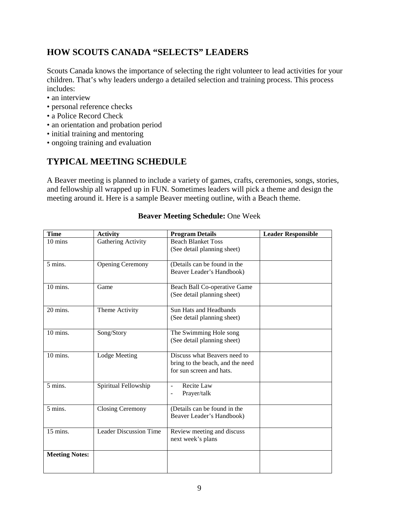## **HOW SCOUTS CANADA "SELECTS" LEADERS**

Scouts Canada knows the importance of selecting the right volunteer to lead activities for your children. That's why leaders undergo a detailed selection and training process. This process includes:

- an interview
- personal reference checks
- a Police Record Check
- an orientation and probation period
- initial training and mentoring
- ongoing training and evaluation

# **TYPICAL MEETING SCHEDULE**

A Beaver meeting is planned to include a variety of games, crafts, ceremonies, songs, stories, and fellowship all wrapped up in FUN. Sometimes leaders will pick a theme and design the meeting around it. Here is a sample Beaver meeting outline, with a Beach theme.

| <b>Time</b>           | <b>Activity</b>               | <b>Program Details</b>                                       | <b>Leader Responsible</b> |
|-----------------------|-------------------------------|--------------------------------------------------------------|---------------------------|
| $10 \text{ mins}$     | Gathering Activity            | <b>Beach Blanket Toss</b>                                    |                           |
|                       |                               | (See detail planning sheet)                                  |                           |
| 5 mins.               | <b>Opening Ceremony</b>       | (Details can be found in the                                 |                           |
|                       |                               | Beaver Leader's Handbook)                                    |                           |
|                       |                               |                                                              |                           |
| 10 mins.              | Game                          | Beach Ball Co-operative Game                                 |                           |
|                       |                               | (See detail planning sheet)                                  |                           |
| 20 mins.              | Theme Activity                | <b>Sun Hats and Headbands</b>                                |                           |
|                       |                               | (See detail planning sheet)                                  |                           |
|                       |                               |                                                              |                           |
| 10 mins.              | Song/Story                    | The Swimming Hole song                                       |                           |
|                       |                               | (See detail planning sheet)                                  |                           |
|                       |                               |                                                              |                           |
| 10 mins.              | <b>Lodge Meeting</b>          | Discuss what Beavers need to                                 |                           |
|                       |                               | bring to the beach, and the need<br>for sun screen and hats. |                           |
|                       |                               |                                                              |                           |
| 5 mins.               | Spiritual Fellowship          | Recite Law<br>$\overline{a}$                                 |                           |
|                       |                               | Prayer/talk                                                  |                           |
|                       |                               |                                                              |                           |
| 5 mins.               | <b>Closing Ceremony</b>       | (Details can be found in the                                 |                           |
|                       |                               | Beaver Leader's Handbook)                                    |                           |
| 15 mins.              | <b>Leader Discussion Time</b> | Review meeting and discuss                                   |                           |
|                       |                               | next week's plans                                            |                           |
|                       |                               |                                                              |                           |
| <b>Meeting Notes:</b> |                               |                                                              |                           |
|                       |                               |                                                              |                           |
|                       |                               |                                                              |                           |

#### **Beaver Meeting Schedule:** One Week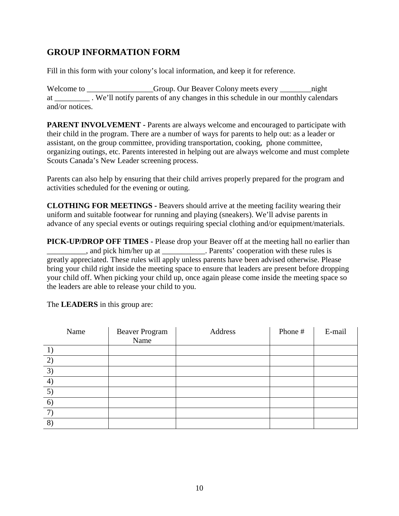# **GROUP INFORMATION FORM**

Fill in this form with your colony's local information, and keep it for reference.

Welcome to \_\_\_\_\_\_\_\_\_\_\_\_\_\_\_Group. Our Beaver Colony meets every \_\_\_\_\_\_\_\_\_\_\_\_\_\_\_\_\_ night at \_\_\_\_\_\_\_\_\_ . We'll notify parents of any changes in this schedule in our monthly calendars and/or notices.

**PARENT INVOLVEMENT - Parents are always welcome and encouraged to participate with** their child in the program. There are a number of ways for parents to help out: as a leader or assistant, on the group committee, providing transportation, cooking, phone committee, organizing outings, etc. Parents interested in helping out are always welcome and must complete Scouts Canada's New Leader screening process.

Parents can also help by ensuring that their child arrives properly prepared for the program and activities scheduled for the evening or outing.

**CLOTHING FOR MEETINGS -** Beavers should arrive at the meeting facility wearing their uniform and suitable footwear for running and playing (sneakers). We'll advise parents in advance of any special events or outings requiring special clothing and/or equipment/materials.

**PICK-UP/DROP OFF TIMES -** Please drop your Beaver off at the meeting hall no earlier than  $\Box$ , and pick him/her up at  $\Box$ . Parents' cooperation with these rules is greatly appreciated. These rules will apply unless parents have been advised otherwise. Please bring your child right inside the meeting space to ensure that leaders are present before dropping your child off. When picking your child up, once again please come inside the meeting space so the leaders are able to release your child to you.

| Name              | <b>Beaver Program</b><br>Name | Address | Phone # | E-mail |
|-------------------|-------------------------------|---------|---------|--------|
|                   |                               |         |         |        |
| $\mathcal{D}$     |                               |         |         |        |
| $\mathfrak{Z}$    |                               |         |         |        |
| $\overline{4}$    |                               |         |         |        |
| $\vert 5 \rangle$ |                               |         |         |        |
| 6                 |                               |         |         |        |
| 7                 |                               |         |         |        |
| 8                 |                               |         |         |        |

The **LEADERS** in this group are: